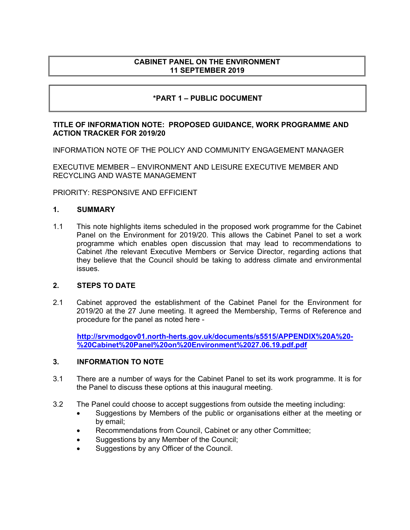## **CABINET PANEL ON THE ENVIRONMENT 11 SEPTEMBER 2019**

# **\*PART 1 – PUBLIC DOCUMENT**

### **TITLE OF INFORMATION NOTE: PROPOSED GUIDANCE, WORK PROGRAMME AND ACTION TRACKER FOR 2019/20**

INFORMATION NOTE OF THE POLICY AND COMMUNITY ENGAGEMENT MANAGER

EXECUTIVE MEMBER – ENVIRONMENT AND LEISURE EXECUTIVE MEMBER AND RECYCLING AND WASTE MANAGEMENT

PRIORITY: RESPONSIVE AND EFFICIENT

#### **1. SUMMARY**

1.1 This note highlights items scheduled in the proposed work programme for the Cabinet Panel on the Environment for 2019/20. This allows the Cabinet Panel to set a work programme which enables open discussion that may lead to recommendations to Cabinet /the relevant Executive Members or Service Director, regarding actions that they believe that the Council should be taking to address climate and environmental issues.

#### **2. STEPS TO DATE**

2.1 Cabinet approved the establishment of the Cabinet Panel for the Environment for 2019/20 at the 27 June meeting. It agreed the Membership, Terms of Reference and procedure for the panel as noted here -

**[http://srvmodgov01.north-herts.gov.uk/documents/s5515/APPENDIX%20A%20-](http://srvmodgov01.north-herts.gov.uk/documents/s5515/APPENDIX%20A%20-%20Cabinet%20Panel%20on%20Environment%2027.06.19.pdf.pdf) [%20Cabinet%20Panel%20on%20Environment%2027.06.19.pdf.pdf](http://srvmodgov01.north-herts.gov.uk/documents/s5515/APPENDIX%20A%20-%20Cabinet%20Panel%20on%20Environment%2027.06.19.pdf.pdf)**

## **3. INFORMATION TO NOTE**

- 3.1 There are a number of ways for the Cabinet Panel to set its work programme. It is for the Panel to discuss these options at this inaugural meeting.
- 3.2 The Panel could choose to accept suggestions from outside the meeting including:
	- Suggestions by Members of the public or organisations either at the meeting or by email;
	- Recommendations from Council, Cabinet or any other Committee;
	- Suggestions by any Member of the Council;
	- Suggestions by any Officer of the Council.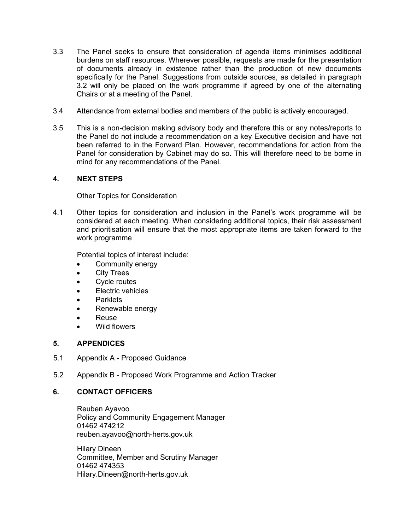- 3.3 The Panel seeks to ensure that consideration of agenda items minimises additional burdens on staff resources. Wherever possible, requests are made for the presentation of documents already in existence rather than the production of new documents specifically for the Panel. Suggestions from outside sources, as detailed in paragraph 3.2 will only be placed on the work programme if agreed by one of the alternating Chairs or at a meeting of the Panel.
- 3.4 Attendance from external bodies and members of the public is actively encouraged.
- 3.5 This is a non-decision making advisory body and therefore this or any notes/reports to the Panel do not include a recommendation on a key Executive decision and have not been referred to in the Forward Plan. However, recommendations for action from the Panel for consideration by Cabinet may do so. This will therefore need to be borne in mind for any recommendations of the Panel.

## **4. NEXT STEPS**

#### Other Topics for Consideration

4.1 Other topics for consideration and inclusion in the Panel's work programme will be considered at each meeting. When considering additional topics, their risk assessment and prioritisation will ensure that the most appropriate items are taken forward to the work programme

Potential topics of interest include:

- Community energy
- City Trees
- Cycle routes
- Electric vehicles
- Parklets
- Renewable energy
- Reuse
- Wild flowers

#### **5. APPENDICES**

- 5.1 Appendix A Proposed Guidance
- 5.2 Appendix B Proposed Work Programme and Action Tracker

## **6. CONTACT OFFICERS**

Reuben Ayavoo Policy and Community Engagement Manager 01462 474212 [reuben.ayavoo@north-herts.gov.uk](mailto:reuben.ayavoo@north-herts.gov.uk)

Hilary Dineen Committee, Member and Scrutiny Manager 01462 474353 [Hilary.Dineen@north-herts.gov.uk](mailto:Hilary.Dineen@north-herts.gov.uk)